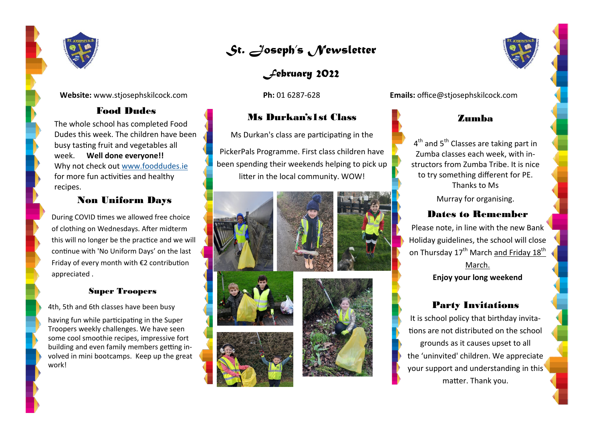

**Website:** www.stjosephskilcock.com **Ph:** 01 6287-628 **Emails:** office@stjosephskilcock.com

# Food Dudes

The whole school has completed Food Dudes this week. The children have been busy tasting fruit and vegetables all week. **Well done everyone!!** Why not check out [www.fooddudes.ie](http://www.fooddudes.ie) for more fun activities and healthy recipes.

### Non Uniform Days

During COVID times we allowed free choice of clothing on Wednesdays. After midterm this will no longer be the practice and we will continue with 'No Uniform Days' on the last Friday of every month with €2 contribution appreciated .

### Super Troopers

4th, 5th and 6th classes have been busy

having fun while participating in the Super Troopers weekly challenges. We have seen some cool smoothie recipes, impressive fort building and even family members getting involved in mini bootcamps. Keep up the great work!



*February 2022*

# Ms Durkan's1st Class

Ms Durkan's class are participating in the

PickerPals Programme. First class children have been spending their weekends helping to pick up litter in the local community. WOW!











## Zumba

4<sup>th</sup> and 5<sup>th</sup> Classes are taking part in Zumba classes each week, with instructors from Zumba Tribe. It is nice to try something different for PE. Thanks to Ms

Murray for organising.

## Dates to Remember

Please note, in line with the new Bank Holiday guidelines, the school will close on Thursday  $17^{th}$  March and Friday  $18^{th}$ 

> March. **Enjoy your long weekend**

# Party Invitations

It is school policy that birthday invitations are not distributed on the school grounds as it causes upset to all the 'uninvited' children. We appreciate your support and understanding in this matter. Thank you.